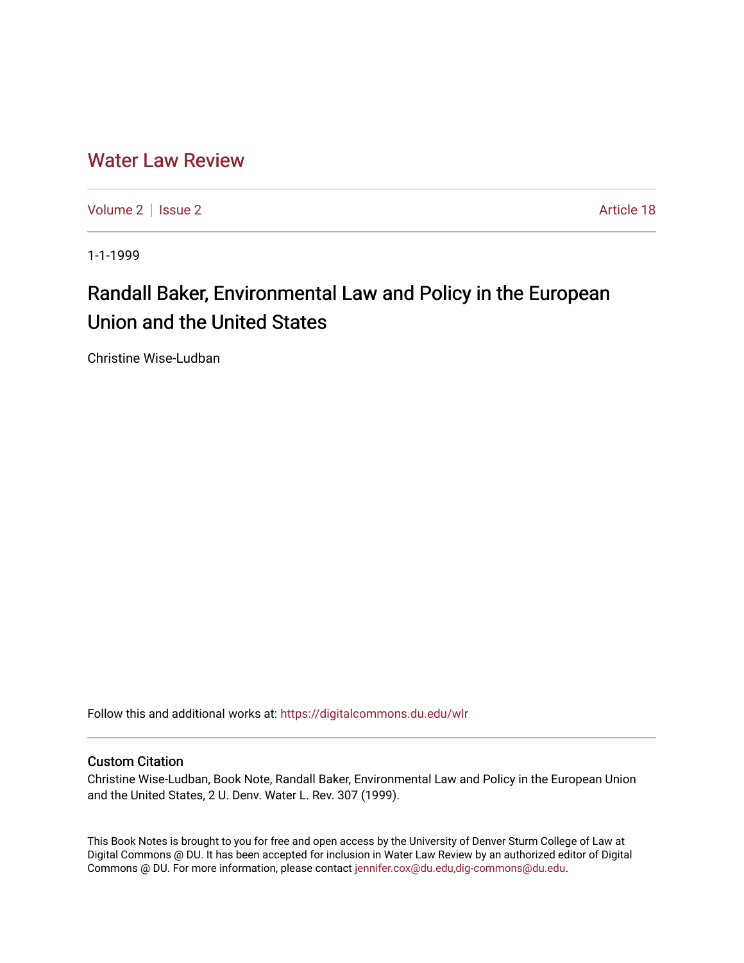## [Water Law Review](https://digitalcommons.du.edu/wlr)

[Volume 2](https://digitalcommons.du.edu/wlr/vol2) | [Issue 2](https://digitalcommons.du.edu/wlr/vol2/iss2) Article 18

1-1-1999

# Randall Baker, Environmental Law and Policy in the European Union and the United States

Christine Wise-Ludban

Follow this and additional works at: [https://digitalcommons.du.edu/wlr](https://digitalcommons.du.edu/wlr?utm_source=digitalcommons.du.edu%2Fwlr%2Fvol2%2Fiss2%2F18&utm_medium=PDF&utm_campaign=PDFCoverPages) 

#### Custom Citation

Christine Wise-Ludban, Book Note, Randall Baker, Environmental Law and Policy in the European Union and the United States, 2 U. Denv. Water L. Rev. 307 (1999).

This Book Notes is brought to you for free and open access by the University of Denver Sturm College of Law at Digital Commons @ DU. It has been accepted for inclusion in Water Law Review by an authorized editor of Digital Commons @ DU. For more information, please contact [jennifer.cox@du.edu,dig-commons@du.edu.](mailto:jennifer.cox@du.edu,dig-commons@du.edu)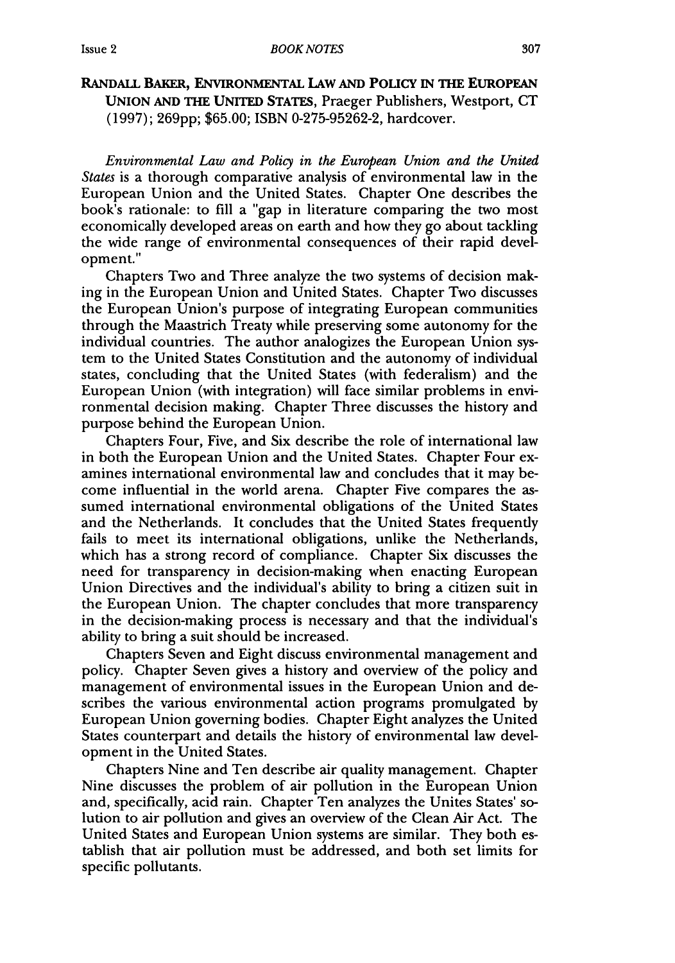### Issue 2

#### RANDALL BAKER, ENVIRONMENTAL **LAW AND POLIcY** IN THE EUROPEAN **UNION AND** THE **UNITED STATES,** Praeger Publishers, Westport, **CT (1997);** 269pp; **\$65.00;** ISBN 0-275-95262-2, hardcover.

*Environmental Law and Policy in the European Union and the United States* is a thorough comparative analysis of environmental law in the European Union and the United States. Chapter One describes the book's rationale: to fill a "gap in literature comparing the two most economically developed areas on earth and how they go about tackling the wide range of environmental consequences of their rapid development."

Chapters Two and Three analyze the two systems of decision making in the European Union and United States. Chapter Two discusses the European Union's purpose of integrating European communities through the Maastrich Treaty while preserving some autonomy for the individual countries. The author analogizes the European Union system to the United States Constitution and the autonomy of individual states, concluding that the United States (with federalism) and the European Union (with integration) will face similar problems in environmental decision making. Chapter Three discusses the history and purpose behind the European Union.

Chapters Four, Five, and Six describe the role of international law in both the European Union and the United States. Chapter Four examines international environmental law and concludes that it may become influential in the world arena. Chapter Five compares the assumed international environmental obligations of the United States and the Netherlands. It concludes that the United States frequently fails to meet its international obligations, unlike the Netherlands, which has a strong record of compliance. Chapter Six discusses the need for transparency in decision-making when enacting European Union Directives and the individual's ability to bring a citizen suit in the European Union. The chapter concludes that more transparency in the decision-making process is necessary and that the individual's ability to bring a suit should be increased.

Chapters Seven and Eight discuss environmental management and policy. Chapter Seven gives a history and overview of the policy and management of environmental issues in the European Union and describes the various environmental action programs promulgated by European Union governing bodies. Chapter Eight analyzes the United States counterpart and details the history of environmental law development in the United States.

Chapters Nine and Ten describe air quality management. Chapter Nine discusses the problem of air pollution in the European Union and, specifically, acid rain. Chapter Ten analyzes the Unites States' solution to air pollution and gives an overview of the Clean Air Act. The United States and European Union systems are similar. They both establish that air pollution must be addressed, and both set limits for specific pollutants.